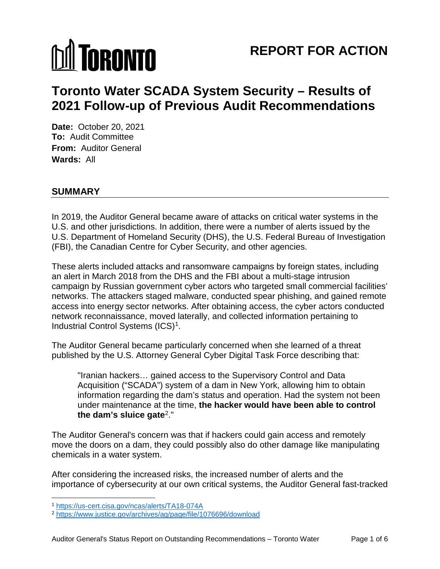# **MI TORONTO**

# **REPORT FOR ACTION**

# **Toronto Water SCADA System Security – Results of 2021 Follow-up of Previous Audit Recommendations**

**Date:** October 20, 2021 **To:** Audit Committee **From:** Auditor General **Wards:** All

# **SUMMARY**

In 2019, the Auditor General became aware of attacks on critical water systems in the U.S. and other jurisdictions. In addition, there were a number of alerts issued by the U.S. Department of Homeland Security (DHS), the U.S. Federal Bureau of Investigation (FBI), the Canadian Centre for Cyber Security, and other agencies.

These alerts included attacks and ransomware campaigns by foreign states, including an alert in March 2018 from the DHS and the FBI about a multi-stage intrusion campaign by Russian government cyber actors who targeted small commercial facilities' networks. The attackers staged malware, conducted spear phishing, and gained remote access into energy sector networks. After obtaining access, the cyber actors conducted network reconnaissance, moved laterally, and collected information pertaining to Industrial Control Systems (ICS)[1](#page-0-0).

The Auditor General became particularly concerned when she learned of a threat published by the U.S. Attorney General Cyber Digital Task Force describing that:

"Iranian hackers… gained access to the Supervisory Control and Data Acquisition ("SCADA") system of a dam in New York, allowing him to obtain information regarding the dam's status and operation. Had the system not been under maintenance at the time, **the hacker would have been able to control the dam's sluice gate**[2](#page-0-1)."

The Auditor General's concern was that if hackers could gain access and remotely move the doors on a dam, they could possibly also do other damage like manipulating chemicals in a water system.

After considering the increased risks, the increased number of alerts and the importance of cybersecurity at our own critical systems, the Auditor General fast-tracked

<span id="page-0-0"></span> <sup>1</sup> <https://us-cert.cisa.gov/ncas/alerts/TA18-074A>

<span id="page-0-1"></span><sup>2</sup> <https://www.justice.gov/archives/ag/page/file/1076696/download>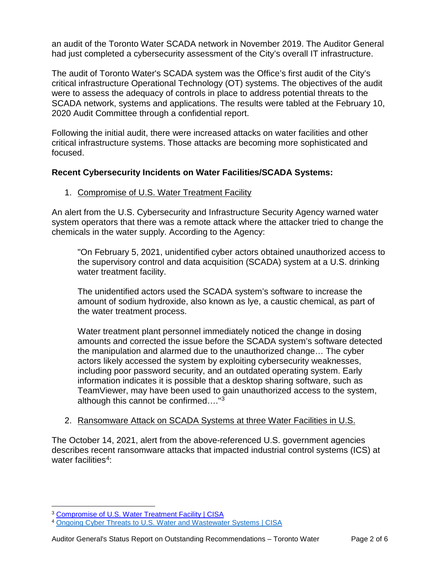an audit of the Toronto Water SCADA network in November 2019. The Auditor General had just completed a cybersecurity assessment of the City's overall IT infrastructure.

The audit of Toronto Water's SCADA system was the Office's first audit of the City's critical infrastructure Operational Technology (OT) systems. The objectives of the audit were to assess the adequacy of controls in place to address potential threats to the SCADA network, systems and applications. The results were tabled at the February 10, 2020 Audit Committee through a confidential report.

Following the initial audit, there were increased attacks on water facilities and other critical infrastructure systems. Those attacks are becoming more sophisticated and focused.

#### **Recent Cybersecurity Incidents on Water Facilities/SCADA Systems:**

#### 1. Compromise of U.S. Water Treatment Facility

An alert from the U.S. Cybersecurity and Infrastructure Security Agency warned water system operators that there was a remote attack where the attacker tried to change the chemicals in the water supply. According to the Agency:

"On February 5, 2021, unidentified cyber actors obtained unauthorized access to the supervisory control and data acquisition (SCADA) system at a U.S. drinking water treatment facility.

The unidentified actors used the SCADA system's software to increase the amount of sodium hydroxide, also known as lye, a caustic chemical, as part of the water treatment process.

Water treatment plant personnel immediately noticed the change in dosing amounts and corrected the issue before the SCADA system's software detected the manipulation and alarmed due to the unauthorized change… The cyber actors likely accessed the system by exploiting cybersecurity weaknesses, including poor password security, and an outdated operating system. Early information indicates it is possible that a desktop sharing software, such as TeamViewer, may have been used to gain unauthorized access to the system, although this cannot be confirmed...."<sup>[3](#page-1-0)</sup>

#### 2. Ransomware Attack on SCADA Systems at three Water Facilities in U.S.

The October 14, 2021, alert from the above-referenced U.S. government agencies describes recent ransomware attacks that impacted industrial control systems (ICS) at water facilities<sup>[4](#page-1-1)</sup>:

<span id="page-1-0"></span><sup>&</sup>lt;sup>3</sup> [Compromise of U.S. Water Treatment Facility | CISA](https://us-cert.cisa.gov/ncas/alerts/aa21-042a)

<span id="page-1-1"></span><sup>4</sup> [Ongoing Cyber Threats to U.S. Water and Wastewater Systems | CISA](https://us-cert.cisa.gov/ncas/alerts/aa21-287a)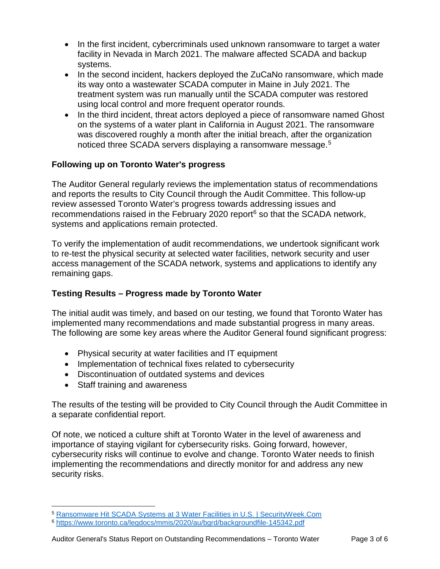- In the first incident, cybercriminals used unknown ransomware to target a water facility in Nevada in March 2021. The malware affected SCADA and backup systems.
- In the second incident, hackers deployed the ZuCaNo ransomware, which made its way onto a wastewater SCADA computer in Maine in July 2021. The treatment system was run manually until the SCADA computer was restored using local control and more frequent operator rounds.
- In the third incident, threat actors deployed a piece of ransomware named Ghost on the systems of a water plant in California in August 2021. The ransomware was discovered roughly a month after the initial breach, after the organization noticed three SCADA servers displaying a ransomware message. [5](#page-2-0)

# **Following up on Toronto Water's progress**

The Auditor General regularly reviews the implementation status of recommendations and reports the results to City Council through the Audit Committee. This follow-up review assessed Toronto Water's progress towards addressing issues and recommendations raised in the February 2020 report $6$  so that the SCADA network, systems and applications remain protected.

To verify the implementation of audit recommendations, we undertook significant work to re-test the physical security at selected water facilities, network security and user access management of the SCADA network, systems and applications to identify any remaining gaps.

# **Testing Results – Progress made by Toronto Water**

The initial audit was timely, and based on our testing, we found that Toronto Water has implemented many recommendations and made substantial progress in many areas. The following are some key areas where the Auditor General found significant progress:

- Physical security at water facilities and IT equipment
- Implementation of technical fixes related to cybersecurity
- Discontinuation of outdated systems and devices
- Staff training and awareness

The results of the testing will be provided to City Council through the Audit Committee in a separate confidential report.

Of note, we noticed a culture shift at Toronto Water in the level of awareness and importance of staying vigilant for cybersecurity risks. Going forward, however, cybersecurity risks will continue to evolve and change. Toronto Water needs to finish implementing the recommendations and directly monitor for and address any new security risks.

<span id="page-2-0"></span> <sup>5</sup> [Ransomware Hit SCADA Systems at 3 Water Facilities in U.S. | SecurityWeek.Com](https://www.securityweek.com/ransomware-hit-scada-systems-3-water-facilities-us)

<span id="page-2-1"></span><sup>6</sup> <https://www.toronto.ca/legdocs/mmis/2020/au/bgrd/backgroundfile-145342.pdf>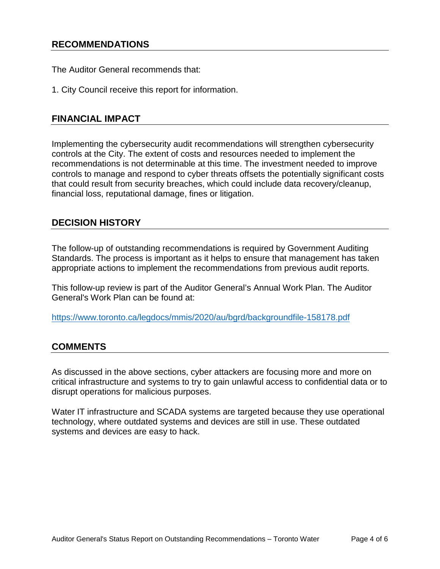# **RECOMMENDATIONS**

The Auditor General recommends that:

1. City Council receive this report for information.

# **FINANCIAL IMPACT**

Implementing the cybersecurity audit recommendations will strengthen cybersecurity controls at the City. The extent of costs and resources needed to implement the recommendations is not determinable at this time. The investment needed to improve controls to manage and respond to cyber threats offsets the potentially significant costs that could result from security breaches, which could include data recovery/cleanup, financial loss, reputational damage, fines or litigation.

#### **DECISION HISTORY**

The follow-up of outstanding recommendations is required by Government Auditing Standards. The process is important as it helps to ensure that management has taken appropriate actions to implement the recommendations from previous audit reports.

This follow-up review is part of the Auditor General's Annual Work Plan. The Auditor General's Work Plan can be found at:

<https://www.toronto.ca/legdocs/mmis/2020/au/bgrd/backgroundfile-158178.pdf>

# **COMMENTS**

As discussed in the above sections, cyber attackers are focusing more and more on critical infrastructure and systems to try to gain unlawful access to confidential data or to disrupt operations for malicious purposes.

Water IT infrastructure and SCADA systems are targeted because they use operational technology, where outdated systems and devices are still in use. These outdated systems and devices are easy to hack.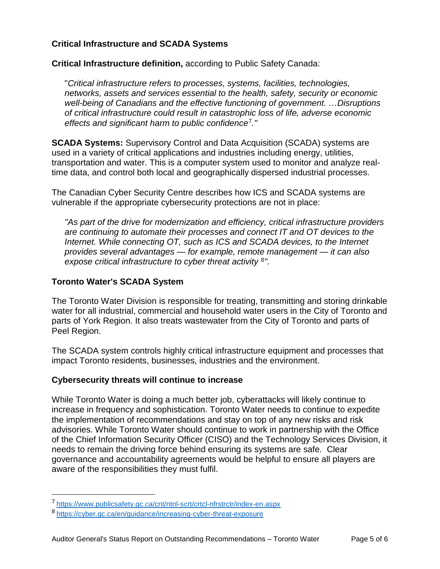#### **Critical Infrastructure and SCADA Systems**

**Critical Infrastructure definition,** according to Public Safety Canada:

"*Critical infrastructure refers to processes, systems, facilities, technologies, networks, assets and services essential to the health, safety, security or economic well-being of Canadians and the effective functioning of government. …Disruptions of critical infrastructure could result in catastrophic loss of life, adverse economic effects and significant harm to public confidence*[7](#page-4-0)*."*

**SCADA Systems:** Supervisory Control and Data Acquisition (SCADA) systems are used in a variety of critical applications and industries including energy, utilities, transportation and water. This is a computer system used to monitor and analyze realtime data, and control both local and geographically dispersed industrial processes.

The Canadian Cyber Security Centre describes how ICS and SCADA systems are vulnerable if the appropriate cybersecurity protections are not in place:

*"As part of the drive for modernization and efficiency, critical infrastructure providers are continuing to automate their processes and connect IT and OT devices to the Internet. While connecting OT, such as ICS and SCADA devices, to the Internet provides several advantages — for example, remote management — it can also expose critical infrastructure to cyber threat activity* [8](#page-4-1)*".*

#### **Toronto Water's SCADA System**

The Toronto Water Division is responsible for treating, transmitting and storing drinkable water for all industrial, commercial and household water users in the City of Toronto and parts of York Region. It also treats wastewater from the City of Toronto and parts of Peel Region.

The SCADA system controls highly critical infrastructure equipment and processes that impact Toronto residents, businesses, industries and the environment.

#### **Cybersecurity threats will continue to increase**

While Toronto Water is doing a much better job, cyberattacks will likely continue to increase in frequency and sophistication. Toronto Water needs to continue to expedite the implementation of recommendations and stay on top of any new risks and risk advisories. While Toronto Water should continue to work in partnership with the Office of the Chief Information Security Officer (CISO) and the Technology Services Division, it needs to remain the driving force behind ensuring its systems are safe. Clear governance and accountability agreements would be helpful to ensure all players are aware of the responsibilities they must fulfil.

<span id="page-4-0"></span> <sup>7</sup> <https://www.publicsafety.gc.ca/cnt/ntnl-scrt/crtcl-nfrstrctr/index-en.aspx>

<span id="page-4-1"></span><sup>8</sup> <https://cyber.gc.ca/en/guidance/increasing-cyber-threat-exposure>